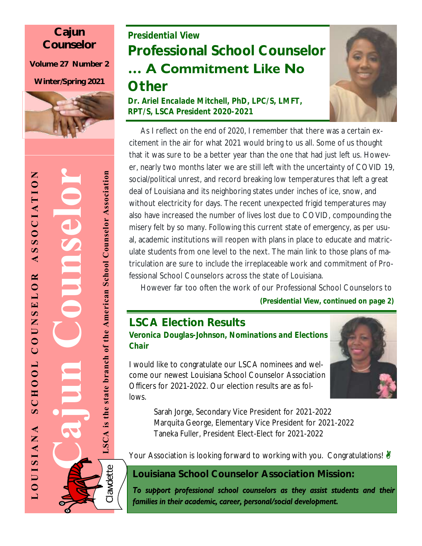### **Cajun Counselor**

**Volume 27 Number 2**

**Winter/Spring 2021**



## *Presidential View* **Professional School Counselor … A Commitment Like No**

## **Other**

*Dr. Ariel Encalade Mitchell, PhD, LPC/S, LMFT, RPT/S, LSCA President 2020-2021*



 As I reflect on the end of 2020, I remember that there was a certain excitement in the air for what 2021 would bring to us all. Some of us thought that it was sure to be a better year than the one that had just left us. However, nearly two months later we are still left with the uncertainty of COVID 19, social/political unrest, and record breaking low temperatures that left a great deal of Louisiana and its neighboring states under inches of ice, snow, and without electricity for days. The recent unexpected frigid temperatures may also have increased the number of lives lost due to COVID, compounding the misery felt by so many. Following this current state of emergency, as per usual, academic institutions will reopen with plans in place to educate and matriculate students from one level to the next. The main link to those plans of matriculation are sure to include the irreplaceable work and commitment of Professional School Counselors across the state of Louisiana.

 However far too often the work of our Professional School Counselors to *(Presidential View, continued on page 2)*

## **LSCA Election Results**

*Veronica Douglas-Johnson, Nominations and Elections Chair*

I would like to congratulate our LSCA nominees and welcome our newest Louisiana School Counselor Association Officers for 2021-2022. Our election results are as follows.

> Sarah Jorge, Secondary Vice President for 2021-2022 Marquita George, Elementary Vice President for 2021-2022 Taneka Fuller, President Elect-Elect for 2021-2022

Your Association is looking forward to working with you. Congratulations!

**Louisiana School Counselor Association Mission:**

To support professional school counselors as they assist students and their families in their academic, career, personal/social development.

ے

**Cajun Counselor** LSCA is the state branch of the American School Counselor Association **LSCA is the state branch of the American School Counselor Association**

UnSe

Clawdette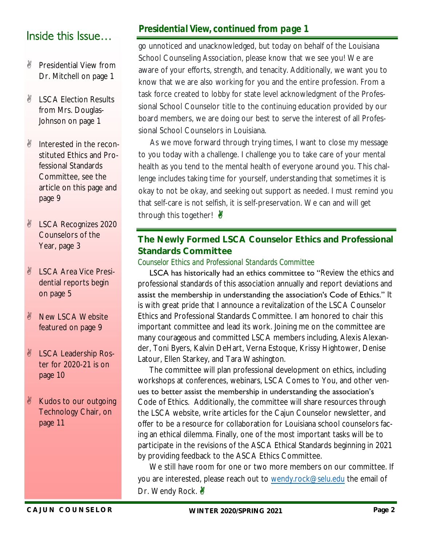## Inside this Issue…

- *N* Presidential View from Dr. Mitchell on page 1
- *N* LSCA Election Results from Mrs. Douglas-Johnson on page 1
- Interested in the reconstituted Ethics and Professional Standards Committee, see the article on this page and page 9
- *U* LSCA Recognizes 2020 Counselors of the Year, page 3
- LSCA Area Vice Presidential reports begin on page 5
- New LSCA Website featured on page 9
- LSCA Leadership Roster for 2020-21 is on page 10
- Kudos to our outgoing Technology Chair, on page 11

#### *Presidential View, continued from page 1*

go unnoticed and unacknowledged, but today on behalf of the Louisiana School Counseling Association, please know that we see you! We are aware of your efforts, strength, and tenacity. Additionally, we want you to know that we are also working for you and the entire profession. From a task force created to lobby for state level acknowledgment of the Professional School Counselor title to the continuing education provided by our board members, we are doing our best to serve the interest of all Professional School Counselors in Louisiana.

 As we move forward through trying times, I want to close my message to you today with a challenge. I challenge you to take care of your mental health as you tend to the mental health of everyone around you. This challenge includes taking time for yourself, understanding that sometimes it is okay to not be okay, and seeking out support as needed. I must remind you that self-care is not selfish, it is self-preservation. We can and will get through this together! <u></u>

#### **The Newly Formed LSCA Counselor Ethics and Professional Standards Committee**

*Counselor Ethics and Professional Standards Committee* 

 LSCA has historically had an ethics committee to "Review the ethics and professional standards of this association annually and report deviations and assist the membership in understanding the association's Code of Ethics." It is with great pride that I announce a revitalization of the LSCA Counselor Ethics and Professional Standards Committee. I am honored to chair this important committee and lead its work. Joining me on the committee are many courageous and committed LSCA members including, Alexis Alexander, Toni Byers, Kalvin DeHart, Verna Estoque, Krissy Hightower, Denise Latour, Ellen Starkey, and Tara Washington.

 The committee will plan professional development on ethics, including workshops at conferences, webinars, LSCA Comes to You, and other venues to better assist the membership in understanding the association's Code of Ethics. Additionally, the committee will share resources through the LSCA website, write articles for the Cajun Counselor newsletter, and offer to be a resource for collaboration for Louisiana school counselors facing an ethical dilemma. Finally, one of the most important tasks will be to participate in the revisions of the ASCA Ethical Standards beginning in 2021 by providing feedback to the ASCA Ethics Committee.

We still have room for one or two more members on our committee. If you are interested, please reach out to [wendy.rock@selu.edu](about:blank) the email of Dr. Wendy Rock. **&**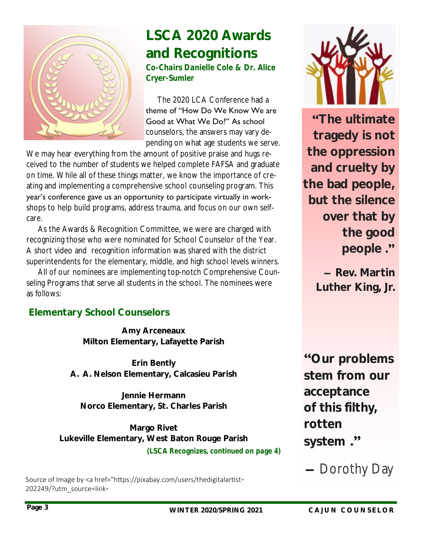

# **LSCA 2020 Awards and Recognitions**

*Co-Chairs Danielle Cole & Dr. Alice Cryer-Sumler* 

 The 2020 LCA Conference had a theme of "How Do We Know We are Good at What We Do?" As school counselors, the answers may vary depending on what age students we serve.

We may hear everything from the amount of positive praise and hugs received to the number of students we helped complete FAFSA and graduate on time. While all of these things matter, we know the importance of creating and implementing a comprehensive school counseling program. This year's conference gave us an opportunity to participate virtually in workshops to help build programs, address trauma, and focus on our own selfcare.

 As the Awards & Recognition Committee, we were are charged with recognizing those who were nominated for School Counselor of the Year. A short video and recognition information was shared with the district superintendents for the elementary, middle, and high school levels winners.

 All of our nominees are implementing top-notch Comprehensive Counseling Programs that serve all students in the school. The nominees were as follows:

### **Elementary School Counselors**

**Amy Arceneaux Milton Elementary, Lafayette Parish**

**Erin Bently A. A. Nelson Elementary, Calcasieu Parish**

**Jennie Hermann Norco Elementary, St. Charles Parish**

**Margo Rivet Lukeville Elementary, West Baton Rouge Parish** *(LSCA Recognizes, continued on page 4)*

Source of Image by <a href="https://pixabay.com/users/thedigitalartist-202249/?utm\_source=link-



**"The ultimate tragedy is not the oppression and cruelty by the bad people, but the silence over that by the good people ."**

> **― Rev. Martin Luther King, Jr.**

**"Our problems stem from our acceptance of this filthy, rotten system ."**

**―** Dorothy Day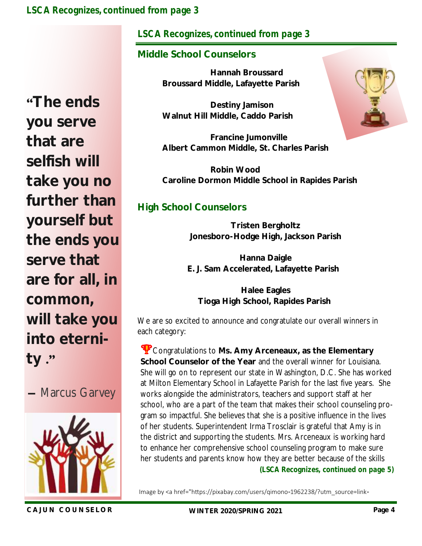#### *LSCA Recognizes, continued from page 3*

**"The ends you serve that are selfish will take you no further than yourself but the ends you serve that are for all, in common, will take you into eternity ."**





#### *LSCA Recognizes, continued from page 3*

#### **Middle School Counselors**

 **Hannah Broussard Broussard Middle, Lafayette Parish**

 **Destiny Jamison Walnut Hill Middle, Caddo Parish**

 **Francine Jumonville Albert Cammon Middle, St. Charles Parish**

 **Robin Wood Caroline Dormon Middle School in Rapides Parish**

#### **High School Counselors**

**Tristen Bergholtz Jonesboro-Hodge High, Jackson Parish**

**Hanna Daigle E. J. Sam Accelerated, Lafayette Parish** 

**Halee Eagles Tioga High School, Rapides Parish**

We are so excited to announce and congratulate our overall winners in each category:

Congratulations to **Ms. Amy Arceneaux, as the Elementary School Counselor of the Year** and the overall winner for Louisiana. She will go on to represent our state in Washington, D.C. She has worked at Milton Elementary School in Lafayette Parish for the last five years. She works alongside the administrators, teachers and support staff at her school, who are a part of the team that makes their school counseling program so impactful. She believes that she is a positive influence in the lives of her students. Superintendent Irma Trosclair is grateful that Amy is in the district and supporting the students. Mrs. Arceneaux is working hard to enhance her comprehensive school counseling program to make sure her students and parents know how they are better because of the skills *(LSCA Recognizes, continued on page 5)*

Image by <a href="https://pixabay.com/users/qimono-1962238/?utm\_source=link-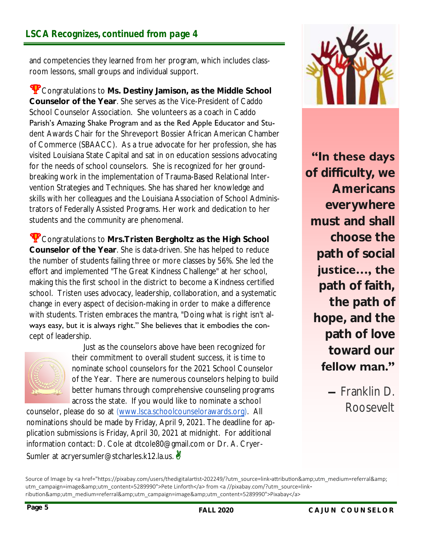and competencies they learned from her program, which includes classroom lessons, small groups and individual support.

Congratulations to **Ms. Destiny Jamison, as the Middle School Counselor of the Year**. She serves as the Vice-President of Caddo School Counselor Association. She volunteers as a coach in Caddo Parish's Amazing Shake Program and as the Red Apple Educator and Student Awards Chair for the Shreveport Bossier African American Chamber of Commerce (SBAACC). As a true advocate for her profession, she has visited Louisiana State Capital and sat in on education sessions advocating for the needs of school counselors. She is recognized for her groundbreaking work in the implementation of Trauma-Based Relational Intervention Strategies and Techniques. She has shared her knowledge and skills with her colleagues and the Louisiana Association of School Administrators of Federally Assisted Programs. Her work and dedication to her students and the community are phenomenal.

Congratulations to **Mrs.Tristen Bergholtz as the High School Counselor of the Year**. She is data-driven. She has helped to reduce the number of students failing three or more classes by 56%. She led the effort and implemented "The Great Kindness Challenge" at her school, making this the first school in the district to become a Kindness certified school. Tristen uses advocacy, leadership, collaboration, and a systematic change in every aspect of decision-making in order to make a difference with students. Tristen embraces the mantra, "Doing what is right isn't always easy, but it is always right." She believes that it embodies the concept of leadership.



 Just as the counselors above have been recognized for their commitment to overall student success, it is time to nominate school counselors for the 2021 School Counselor of the Year. There are numerous counselors helping to build better humans through comprehensive counseling programs across the state. If you would like to nominate a school

counselor, please do so at ([www.lsca.schoolcounselorawards.org\).](http://www.lsca.schoolcounselorawards.org) All nominations should be made by Friday, April 9, 2021. The deadline for application submissions is Friday, April 30, 2021 at midnight. For additional information contact: D. Cole at dtcole80@gmail.com or Dr. A. Cryer-Sumler at acryersumler@stcharles.k12.la.us.



**"In these days** 

**of difficulty, we Americans everywhere must and shall choose the path of social justice…, the path of faith, the path of hope, and the path of love toward our fellow man."**

> **―** Franklin D. Roosevelt

Source of Image by <a href="https://pixabay.com/users/thedigitalartist-202249/?utm\_source=link-attribution&amp;utm\_medium=referral&amp; utm\_campaign=image&utm\_content=5289990">Pete Linforth</a> from <a //pixabay.com/?utm\_source=linkribution&utm\_medium=referral&utm\_campaign=image&utm\_content=5289990">Pixabay</a>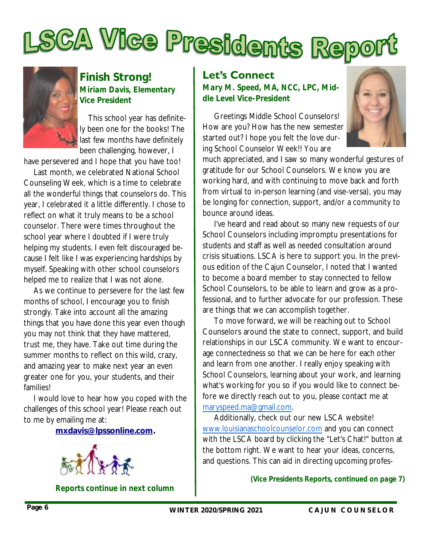



#### **Finish Strong!** *Miriam Davis, Elementary Vice President*

This school year has definitely been one for the books! The last few months have definitely been challenging, however, I

have persevered and I hope that you have too!

Last month, we celebrated National School Counseling Week, which is a time to celebrate all the wonderful things that counselors do. This year, I celebrated it a little differently. I chose to reflect on what it truly means to be a school counselor. There were times throughout the school year where I doubted if I were truly helping my students. I even felt discouraged because I felt like I was experiencing hardships by myself. Speaking with other school counselors helped me to realize that I was not alone.

As we continue to persevere for the last few months of school, I encourage you to finish strongly. Take into account all the amazing things that you have done this year even though you may not think that they have mattered, trust me, they have. Take out time during the summer months to reflect on this wild, crazy, and amazing year to make next year an even greater one for you, your students, and their families!

I would love to hear how you coped with the challenges of this school year! Please reach out to me by emailing me at:

**[mxdavis@lpssonline.com.](mailto:mxdavis@lpssonline.com)**



*Reports continue in next column*

#### **Let's Connect**

*Mary M. Speed, MA, NCC, LPC, Middle Level Vice-President* 

 Greetings Middle School Counselors! How are you? How has the new semester started out? I hope you felt the love during School Counselor Week!! You are



much appreciated, and I saw so many wonderful gestures of gratitude for our School Counselors. We know you are working hard, and with continuing to move back and forth from virtual to in-person learning (and vise-versa), you may be longing for connection, support, and/or a community to bounce around ideas.

 I've heard and read about so many new requests of our School Counselors including impromptu presentations for students and staff as well as needed consultation around crisis situations. LSCA is here to support you. In the previous edition of the Cajun Counselor, I noted that I wanted to become a board member to stay connected to fellow School Counselors, to be able to learn and grow as a professional, and to further advocate for our profession. These are things that we can accomplish together.

 To move forward, we will be reaching out to School Counselors around the state to connect, support, and build relationships in our LSCA community. We want to encourage connectedness so that we can be here for each other and learn from one another. I really enjoy speaking with School Counselors, learning about your work, and learning what's working for you so if you would like to connect before we directly reach out to you, please contact me at [maryspeed.ma@gmail.com.](mailto:maryspeed.ma@gmail.com) 

 Additionally, check out our new LSCA website! [www.louisianaschoolcounselor.com](http://www.louisianaschoolcounselor.com/) and you can connect with the LSCA board by clicking the "Let's Chat!" button at the bottom right. We want to hear your ideas, concerns, and questions. This can aid in directing upcoming profes-

*(Vice Presidents Reports, continued on page 7)*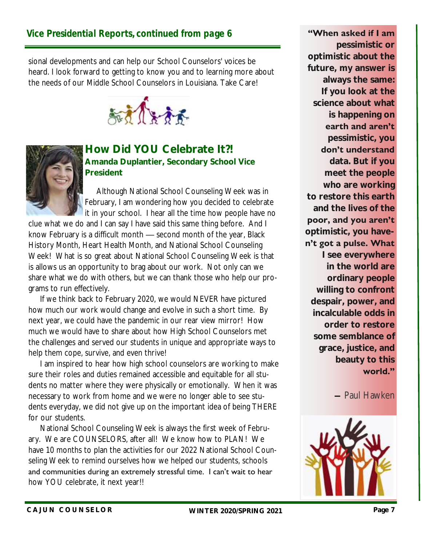sional developments and can help our School Counselors' voices be heard. I look forward to getting to know you and to learning more about the needs of our Middle School Counselors in Louisiana. Take Care!





#### **How Did YOU Celebrate It?! Amanda Duplantier, Secondary School Vice President**

 Although National School Counseling Week was in February, I am wondering how you decided to celebrate it in your school. I hear all the time how people have no

clue what we do and I can say I have said this same thing before. And I know February is a difficult month — second month of the year, Black History Month, Heart Health Month, and National School Counseling Week! What is so great about National School Counseling Week is that is allows us an opportunity to brag about our work. Not only can we share what we do with others, but we can thank those who help our programs to run effectively.

 If we think back to February 2020, we would NEVER have pictured how much our work would change and evolve in such a short time. By next year, we could have the pandemic in our rear view mirror! How much we would have to share about how High School Counselors met the challenges and served our students in unique and appropriate ways to help them cope, survive, and even thrive!

 I am inspired to hear how high school counselors are working to make sure their roles and duties remained accessible and equitable for all students no matter where they were physically or emotionally. When it was necessary to work from home and we were no longer able to see students everyday, we did not give up on the important idea of being THERE for our students.

 National School Counseling Week is always the first week of February. We are COUNSELORS, after all! We know how to PLAN! We have 10 months to plan the activities for our 2022 National School Counseling Week to remind ourselves how we helped our students, schools and communities during an extremely stressful time. I can't wait to hear how YOU celebrate, it next year!!

**"When asked if I am** 

**pessimistic or optimistic about the future, my answer is always the same: If you look at the science about what is happening on earth and aren't pessimistic, you don't understand data. But if you meet the people who are working to restore this earth and the lives of the poor, and you aren't optimistic, you haven't got a pulse. What I see everywhere in the world are ordinary people willing to confront despair, power, and incalculable odds in order to restore some semblance of grace, justice, and beauty to this world."**

**―** Paul Hawken

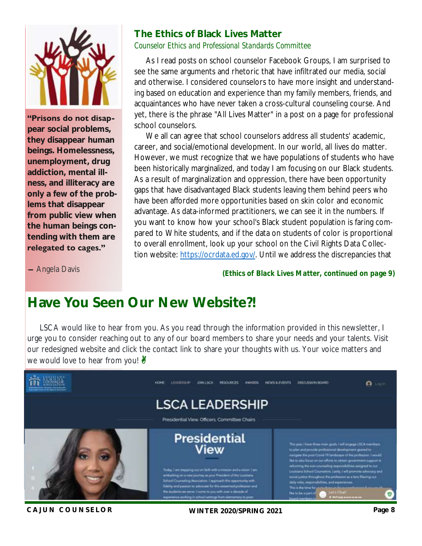

**"Prisons do not disappear social problems, they disappear human beings. Homelessness, unemployment, drug addiction, mental illness, and illiteracy are only a few of the problems that disappear from public view when the human beings contending with them are relegated to cages."**

#### **The Ethics of Black Lives Matter** *Counselor Ethics and Professional Standards Committee*

 As I read posts on school counselor Facebook Groups, I am surprised to see the same arguments and rhetoric that have infiltrated our media, social and otherwise. I considered counselors to have more insight and understanding based on education and experience than my family members, friends, and acquaintances who have never taken a cross-cultural counseling course. And yet, there is the phrase "All Lives Matter" in a post on a page for professional school counselors.

 We all can agree that school counselors address *all* students' academic, career, and social/emotional development. In our world, all lives do matter. However, we must recognize that we have populations of students who have been historically marginalized, and today I am focusing on our Black students. As a result of marginalization and oppression, there have been opportunity gaps that have disadvantaged Black students leaving them behind peers who have been afforded more opportunities based on skin color and economic advantage. As data-informed practitioners, we can see it in the numbers. If you want to know how your school's Black student population is faring compared to White students, and if the data on students of color is proportional to overall enrollment, look up your school on the Civil Rights Data Collection website: [https://ocrdata.ed.gov/.](about:blank) Until we address the discrepancies that

**―** Angela Davis

*(Ethics of Black Lives Matter, continued on page 9)*

## **Have You Seen Our New Website?!**

LSCA would like to hear from you. As you read through the information provided in this newsletter, I urge you to consider reaching out to any of our board members to share your needs and your talents. Visit our redesigned website and click the contact link to share your thoughts with us. Your voice matters and we would love to hear from you!  $\frac{N}{2}$ 



**C A J U N C O UN SE L OR WINTER 2020/SPRING 2021 Page 8**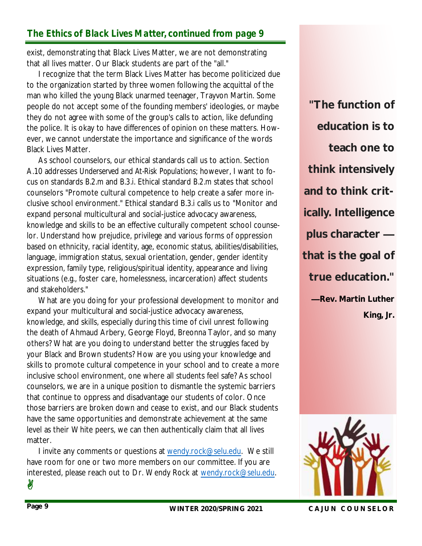## *The Ethics of Black Lives Matter, continued from page 9*

exist, demonstrating that Black Lives Matter, we are not demonstrating that all lives matter. Our Black students are part of the "all."

 I recognize that the term Black Lives Matter has become politicized due to the organization started by three women following the acquittal of the man who killed the young Black unarmed teenager, Trayvon Martin. Some people do not accept some of the founding members' ideologies, or maybe they do not agree with some of the group's calls to action, like defunding the police. It is okay to have differences of opinion on these matters. However, we cannot understate the importance and significance of the words Black Lives Matter.

 As school counselors, our ethical standards call us to action. Section A.10 addresses *Underserved and At-Risk Populations*; however, I want to focus on standards *B.2.m* and *B.3.i*. Ethical standard *B.2.m* states that school counselors "Promote cultural competence to help create a safer more inclusive school environment." Ethical standard B.3.i calls us to "Monitor and expand personal multicultural and social-justice advocacy awareness, knowledge and skills to be an effective culturally competent school counselor. Understand how prejudice, privilege and various forms of oppression based on ethnicity, racial identity, age, economic status, abilities/disabilities, language, immigration status, sexual orientation, gender, gender identity expression, family type, religious/spiritual identity, appearance and living situations (e.g., foster care, homelessness, incarceration) affect students and stakeholders."

 What are you doing for your professional development to monitor and expand your multicultural and social-justice advocacy awareness, knowledge, and skills, especially during this time of civil unrest following the death of Ahmaud Arbery, George Floyd, Breonna Taylor, and so many others? What are you doing to understand better the struggles faced by your Black and Brown students? How are you using your knowledge and skills to promote cultural competence in your school and to create a more inclusive school environment, one where all students feel safe? As school counselors, we are in a unique position to dismantle the systemic barriers that continue to oppress and disadvantage our students of color. Once those barriers are broken down and cease to exist, and our Black students have the same opportunities and demonstrate achievement at the same level as their White peers, we can then authentically claim that all lives matter.

 I invite any comments or questions at [wendy.rock@selu.edu.](about:blank) We still have room for one or two more members on our committee. If you are interested, please reach out to Dr. Wendy Rock at [wendy.rock@selu.edu.](about:blank)

**"The function of education is to teach one to think intensively and to think critically. Intelligence plus character that is the goal of true education." —Rev. Martin Luther King, Jr.**



y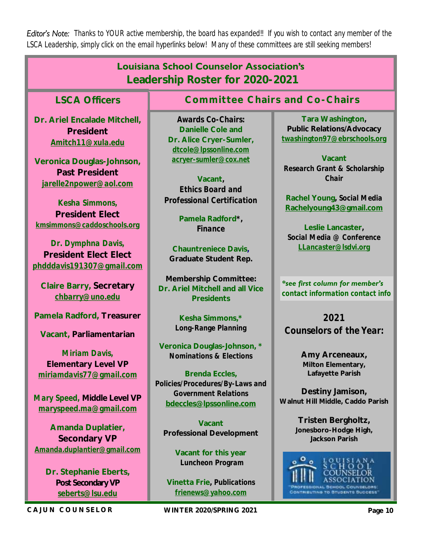*Editor's Note: Thanks to YOUR active membership, the board has expanded!! If you wish to contact any member of the LSCA Leadership, simply click on the email hyperlinks below! Many of these committees are still seeking members!* 

| <b>Louisiana School Counselor Association's</b><br>Leadership Roster for 2020-2021                                                                                                                                                                                                                   |                                                                                                                                                                                                                                                                         |                                                                                                                                                                                                                                                                     |
|------------------------------------------------------------------------------------------------------------------------------------------------------------------------------------------------------------------------------------------------------------------------------------------------------|-------------------------------------------------------------------------------------------------------------------------------------------------------------------------------------------------------------------------------------------------------------------------|---------------------------------------------------------------------------------------------------------------------------------------------------------------------------------------------------------------------------------------------------------------------|
| <b>LSCA Officers</b>                                                                                                                                                                                                                                                                                 | Committee Chairs and Co-Chairs                                                                                                                                                                                                                                          |                                                                                                                                                                                                                                                                     |
| Dr. Ariel Encalade Mitchell,<br>President<br>Amitch11@xula.edu<br>Veronica Douglas-Johnson,<br>Past President<br>jarelle2npower@aol.com<br>Kesha Simmons,<br><b>President Elect</b><br>kmsimmons@caddoschools.org<br>Dr. Dymphna Davis,<br><b>President Elect Elect</b><br>phdddavis191307@gmail.com | Awards Co-Chairs:<br>Danielle Cole and<br>Dr. Alice Cryer-Sumler,<br>dtcole@Ipssonline.com<br>acryer-sumler@cox.net<br>Vacant,<br><b>Ethics Board and</b><br>Professional Certification<br>Pamela Radford*,<br>Finance<br>Chauntreniece Davis,<br>Graduate Student Rep. | Tara Washington,<br>Public Relations/Advocacy<br>twashington97@ebrschools.org<br>Vacant<br>Research Grant & Scholarship<br>Chair<br>Rachel Young, Social Media<br>Rachelyoung43@gmail.com<br>Leslie Lancaster,<br>Social Media @ Conference<br>LLancaster@Isdvi.org |
| Claire Barry, Secretary<br>chbarry@uno.edu                                                                                                                                                                                                                                                           | Membership Committee:<br>Dr. Ariel Mitchell and all Vice<br>Presidents                                                                                                                                                                                                  | *see first column for member's<br>contact information contact info                                                                                                                                                                                                  |
| Pamela Radford, Treasurer<br>Vacant, Parliamentarian<br>Miriam Davis,<br><b>Elementary Level VP</b><br>miriamdavis77@gmail.com                                                                                                                                                                       | Kesha Simmons,*<br>Long-Range Planning<br>Veronica Douglas-Johnson, *<br><b>Nominations &amp; Elections</b><br>Brenda Eccles,<br>Policies/Procedures/By-Laws and                                                                                                        | 2021<br>Counselors of the Year:<br>Amy Arceneaux,<br>Milton Elementary,<br>Lafayette Parish                                                                                                                                                                         |
| Mary Speed, Middle Level VP<br>maryspeed.ma@gmail.com<br>Amanda Duplatier,<br>Secondary VP<br>Amanda.duplantier@gmail.com<br>Dr. Stephanie Eberts,<br>Post Secondary VP<br>seberts@Isu.edu                                                                                                           | <b>Government Relations</b><br>bdeccles@lpssonline.com<br>Vacant<br>Professional Development<br>Vacant for this year<br>Luncheon Program<br>Vinetta Frie, Publications<br>frienews@yahoo.com                                                                            | Destiny Jamison,<br>Walnut Hill Middle, Caddo Parish<br>Tristen Bergholtz,<br>Jonesboro-Hodge High,<br>Jackson Parish<br>OUISIANA<br>ноог<br>HIBUTING TO BTUDENTS BUCCESS                                                                                           |
| CAJUN COUNSELOR                                                                                                                                                                                                                                                                                      | WINTER 2020/SPRING 2021                                                                                                                                                                                                                                                 | Page 10                                                                                                                                                                                                                                                             |